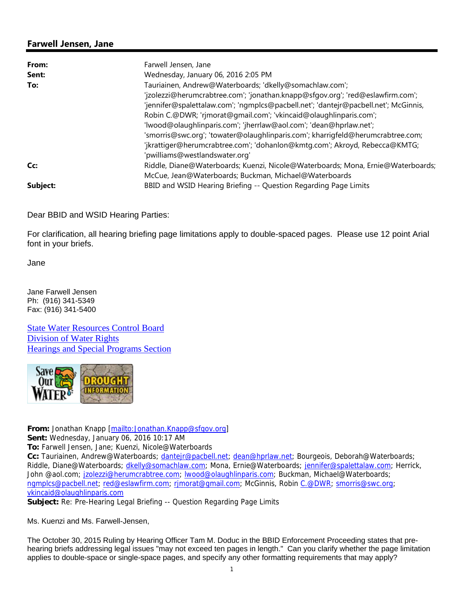## **Farwell Jensen, Jane**

| From:    | Farwell Jensen, Jane                                                                |
|----------|-------------------------------------------------------------------------------------|
| Sent:    | Wednesday, January 06, 2016 2:05 PM                                                 |
| To:      | Tauriainen, Andrew@Waterboards; 'dkelly@somachlaw.com';                             |
|          | 'jzolezzi@herumcrabtree.com'; 'jonathan.knapp@sfgov.org'; 'red@eslawfirm.com';      |
|          | 'jennifer@spalettalaw.com'; 'ngmplcs@pacbell.net'; 'dantejr@pacbell.net'; McGinnis, |
|          | Robin C.@DWR; 'rimorat@gmail.com'; 'vkincaid@olaughlinparis.com';                   |
|          | 'lwood@olaughlinparis.com'; 'jherrlaw@aol.com'; 'dean@hprlaw.net';                  |
|          | 'smorris@swc.org'; 'towater@olaughlinparis.com'; kharrigfeld@herumcrabtree.com;     |
|          | 'jkrattiger@herumcrabtree.com'; 'dohanlon@kmtg.com'; Akroyd, Rebecca@KMTG;          |
|          | 'pwilliams@westlandswater.org'                                                      |
| Cc:      | Riddle, Diane@Waterboards; Kuenzi, Nicole@Waterboards; Mona, Ernie@Waterboards;     |
|          | McCue, Jean@Waterboards; Buckman, Michael@Waterboards                               |
| Subject: | BBID and WSID Hearing Briefing -- Question Regarding Page Limits                    |

Dear BBID and WSID Hearing Parties:

For clarification, all hearing briefing page limitations apply to double-spaced pages. Please use 12 point Arial font in your briefs.

Jane

Jane Farwell Jensen Ph: (916) 341-5349 Fax: (916) 341-5400

State Water Resources Control Board Division of Water Rights Hearings and Special Programs Section



**From:** Jonathan Knapp [mailto:Jonathan.Knapp@sfgov.org]

**Sent:** Wednesday, January 06, 2016 10:17 AM

**To:** Farwell Jensen, Jane; Kuenzi, Nicole@Waterboards

**Cc:** Tauriainen, Andrew@Waterboards; dantejr@pacbell.net; dean@hprlaw.net; Bourgeois, Deborah@Waterboards; Riddle, Diane@Waterboards; dkelly@somachlaw.com; Mona, Ernie@Waterboards; jennifer@spalettalaw.com; Herrick, John @aol.com; jzolezzi@herumcrabtree.com; lwood@olaughlinparis.com; Buckman, Michael@Waterboards; ngmplcs@pacbell.net; red@eslawfirm.com; rjmorat@gmail.com; McGinnis, Robin C.@DWR; smorris@swc.org; vkincaid@olaughlinparis.com

**Subject:** Re: Pre-Hearing Legal Briefing -- Question Regarding Page Limits

Ms. Kuenzi and Ms. Farwell-Jensen,

The October 30, 2015 Ruling by Hearing Officer Tam M. Doduc in the BBID Enforcement Proceeding states that prehearing briefs addressing legal issues "may not exceed ten pages in length." Can you clarify whether the page limitation applies to double-space or single-space pages, and specify any other formatting requirements that may apply?